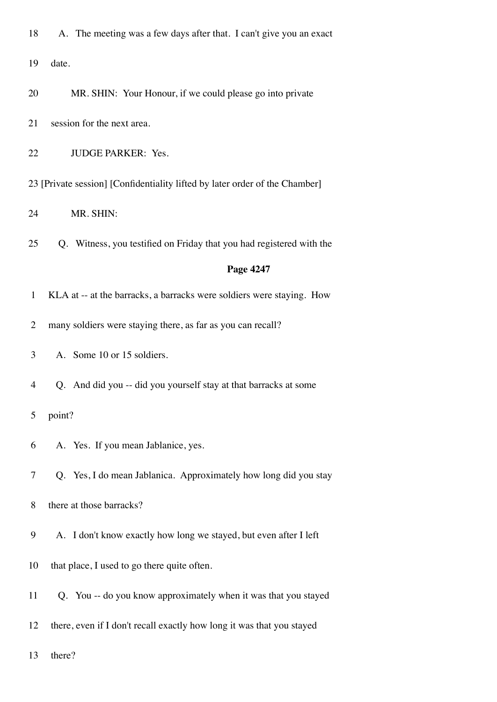| 18             | A. The meeting was a few days after that. I can't give you an exact         |
|----------------|-----------------------------------------------------------------------------|
| 19             | date.                                                                       |
| 20             | MR. SHIN: Your Honour, if we could please go into private                   |
| 21             | session for the next area.                                                  |
| 22             | JUDGE PARKER: Yes.                                                          |
|                | 23 [Private session] [Confidentiality lifted by later order of the Chamber] |
| 24             | MR. SHIN:                                                                   |
| 25             | Q. Witness, you testified on Friday that you had registered with the        |
|                | Page 4247                                                                   |
| $\mathbf{1}$   | KLA at -- at the barracks, a barracks were soldiers were staying. How       |
| $\overline{2}$ | many soldiers were staying there, as far as you can recall?                 |
| 3              | A. Some 10 or 15 soldiers.                                                  |
| 4              | Q. And did you -- did you yourself stay at that barracks at some            |
| 5              | point?                                                                      |
| 6              | A. Yes. If you mean Jablanice, yes.                                         |
| 7              | Q. Yes, I do mean Jablanica. Approximately how long did you stay            |
| 8              | there at those barracks?                                                    |
| 9              | A. I don't know exactly how long we stayed, but even after I left           |
| 10             | that place, I used to go there quite often.                                 |
| 11             | Q. You -- do you know approximately when it was that you stayed             |
| 12             | there, even if I don't recall exactly how long it was that you stayed       |
| 13             | there?                                                                      |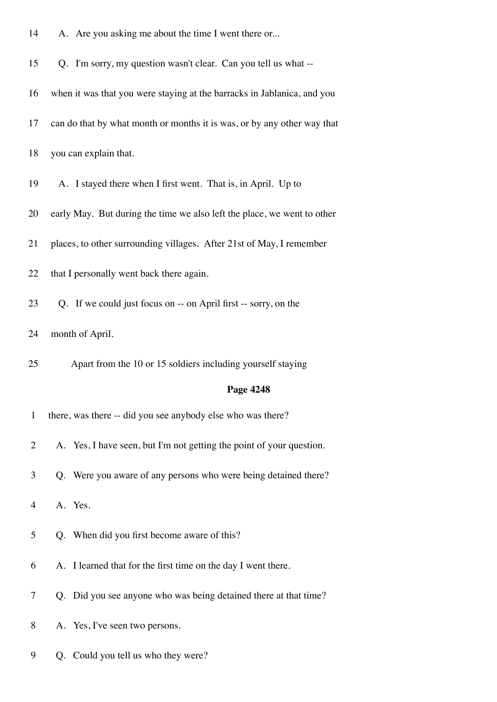| 14           | A. Are you asking me about the time I went there or                     |
|--------------|-------------------------------------------------------------------------|
| 15           | Q. I'm sorry, my question wasn't clear. Can you tell us what --         |
| 16           | when it was that you were staying at the barracks in Jablanica, and you |
| 17           | can do that by what month or months it is was, or by any other way that |
| 18           | you can explain that.                                                   |
| 19           | A. I stayed there when I first went. That is, in April. Up to           |
| 20           | early May. But during the time we also left the place, we went to other |
| 21           | places, to other surrounding villages. After 21st of May, I remember    |
| 22           | that I personally went back there again.                                |
| 23           | Q. If we could just focus on -- on April first -- sorry, on the         |
| 24           | month of April.                                                         |
|              |                                                                         |
| 25           | Apart from the 10 or 15 soldiers including yourself staying             |
|              | Page 4248                                                               |
| $\mathbf{1}$ | there, was there -- did you see anybody else who was there?             |
| 2            | A. Yes, I have seen, but I'm not getting the point of your question.    |
| 3            | Q. Were you aware of any persons who were being detained there?         |
| 4            | A. Yes.                                                                 |
| 5            | Q. When did you first become aware of this?                             |
| 6            | A. I learned that for the first time on the day I went there.           |
| 7            | Q. Did you see anyone who was being detained there at that time?        |
| 8            | A. Yes, I've seen two persons.                                          |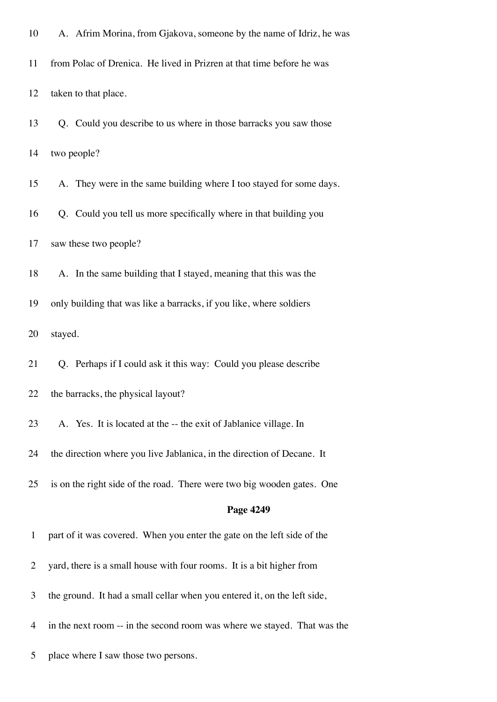| 10           | A. Afrim Morina, from Gjakova, someone by the name of Idriz, he was      |
|--------------|--------------------------------------------------------------------------|
| 11           | from Polac of Drenica. He lived in Prizren at that time before he was    |
| 12           | taken to that place.                                                     |
| 13           | Q. Could you describe to us where in those barracks you saw those        |
| 14           | two people?                                                              |
| 15           | A. They were in the same building where I too stayed for some days.      |
| 16           | Q. Could you tell us more specifically where in that building you        |
| 17           | saw these two people?                                                    |
| 18           | A. In the same building that I stayed, meaning that this was the         |
| 19           | only building that was like a barracks, if you like, where soldiers      |
| 20           | stayed.                                                                  |
| 21           | Q. Perhaps if I could ask it this way: Could you please describe         |
| 22           | the barracks, the physical layout?                                       |
| 23           | A. Yes. It is located at the -- the exit of Jablanice village. In        |
| 24           | the direction where you live Jablanica, in the direction of Decane. It   |
| 25           | is on the right side of the road. There were two big wooden gates. One   |
|              | Page 4249                                                                |
| $\mathbf{1}$ | part of it was covered. When you enter the gate on the left side of the  |
| 2            | yard, there is a small house with four rooms. It is a bit higher from    |
| 3            | the ground. It had a small cellar when you entered it, on the left side, |
| 4            | in the next room -- in the second room was where we stayed. That was the |
| 5            | place where I saw those two persons.                                     |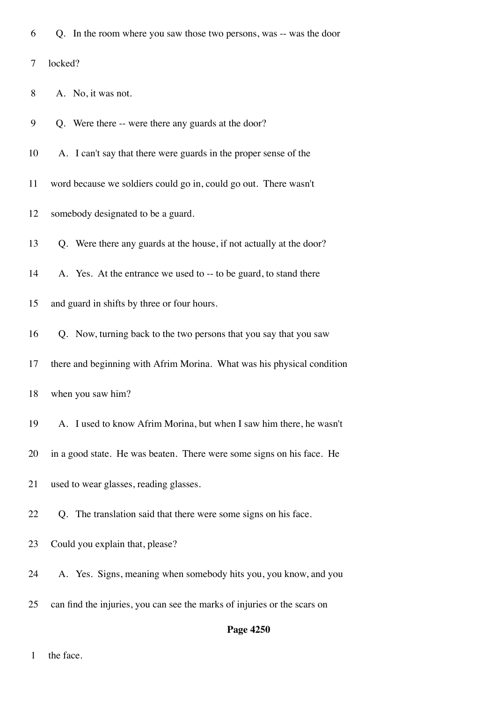|  |  |  | 6 Q. In the room where you saw those two persons, was -- was the door |
|--|--|--|-----------------------------------------------------------------------|
|--|--|--|-----------------------------------------------------------------------|

7 locked?

- 8 A. No, it was not.
- 9 Q. Were there -- were there any guards at the door?
- 10 A. I can't say that there were guards in the proper sense of the
- 11 word because we soldiers could go in, could go out. There wasn't
- 12 somebody designated to be a guard.
- 13 Q. Were there any guards at the house, if not actually at the door?
- 14 A. Yes. At the entrance we used to -- to be guard, to stand there
- 15 and guard in shifts by three or four hours.
- 16 Q. Now, turning back to the two persons that you say that you saw
- 17 there and beginning with Afrim Morina. What was his physical condition

- 19 A. I used to know Afrim Morina, but when I saw him there, he wasn't
- 20 in a good state. He was beaten. There were some signs on his face. He
- 21 used to wear glasses, reading glasses.
- 22 Q. The translation said that there were some signs on his face.
- 23 Could you explain that, please?
- 24 A. Yes. Signs, meaning when somebody hits you, you know, and you
- 25 can find the injuries, you can see the marks of injuries or the scars on

#### **Page 4250**

1 the face.

<sup>18</sup> when you saw him?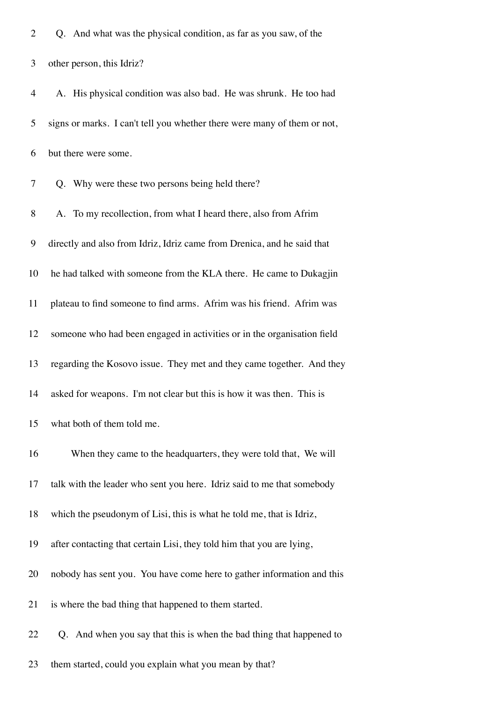|  |  |  |  |  |  |  | Q. And what was the physical condition, as far as you saw, of the |  |  |  |  |  |  |
|--|--|--|--|--|--|--|-------------------------------------------------------------------|--|--|--|--|--|--|
|--|--|--|--|--|--|--|-------------------------------------------------------------------|--|--|--|--|--|--|

3 other person, this Idriz?

| $\overline{4}$ | A. His physical condition was also bad. He was shrunk. He too had        |
|----------------|--------------------------------------------------------------------------|
| 5              | signs or marks. I can't tell you whether there were many of them or not, |
| 6              | but there were some.                                                     |
| 7              | Q. Why were these two persons being held there?                          |
| 8              | A. To my recollection, from what I heard there, also from Afrim          |
| 9              | directly and also from Idriz, Idriz came from Drenica, and he said that  |
| 10             | he had talked with someone from the KLA there. He came to Dukagjin       |
| 11             | plateau to find someone to find arms. Afrim was his friend. Afrim was    |
| 12             | someone who had been engaged in activities or in the organisation field  |
| 13             | regarding the Kosovo issue. They met and they came together. And they    |
| 14             | asked for weapons. I'm not clear but this is how it was then. This is    |
| 15             | what both of them told me.                                               |
| 16             | When they came to the headquarters, they were told that, We will         |
| 17             | talk with the leader who sent you here. Idriz said to me that somebody   |
| 18             | which the pseudonym of Lisi, this is what he told me, that is Idriz,     |
| 19             | after contacting that certain Lisi, they told him that you are lying,    |
| 20             | nobody has sent you. You have come here to gather information and this   |
| 21             | is where the bad thing that happened to them started.                    |

22 Q. And when you say that this is when the bad thing that happened to

23 them started, could you explain what you mean by that?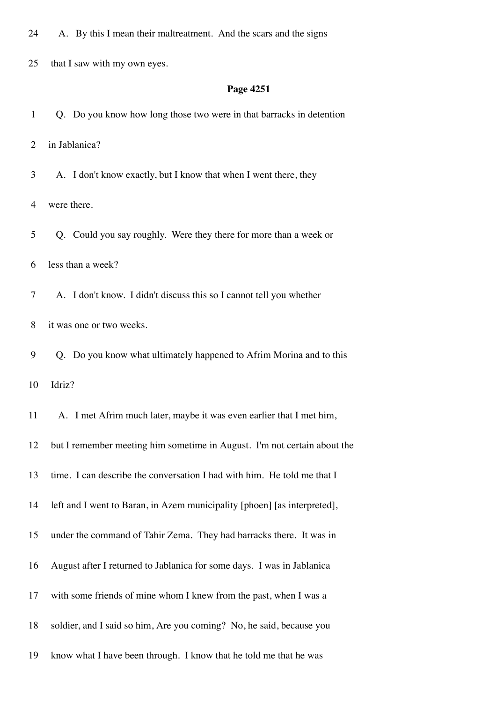24 A. By this I mean their maltreatment. And the scars and the signs

25 that I saw with my own eyes.

#### **Page 4251**

1 Q. Do you know how long those two were in that barracks in detention

2 in Jablanica?

3 A. I don't know exactly, but I know that when I went there, they

4 were there.

5 Q. Could you say roughly. Were they there for more than a week or

6 less than a week?

7 A. I don't know. I didn't discuss this so I cannot tell you whether

8 it was one or two weeks.

9 Q. Do you know what ultimately happened to Afrim Morina and to this

10 Idriz?

11 A. I met Afrim much later, maybe it was even earlier that I met him, 12 but I remember meeting him sometime in August. I'm not certain about the 13 time. I can describe the conversation I had with him. He told me that I 14 left and I went to Baran, in Azem municipality [phoen] [as interpreted], 15 under the command of Tahir Zema. They had barracks there. It was in 16 August after I returned to Jablanica for some days. I was in Jablanica 17 with some friends of mine whom I knew from the past, when I was a 18 soldier, and I said so him, Are you coming? No, he said, because you 19 know what I have been through. I know that he told me that he was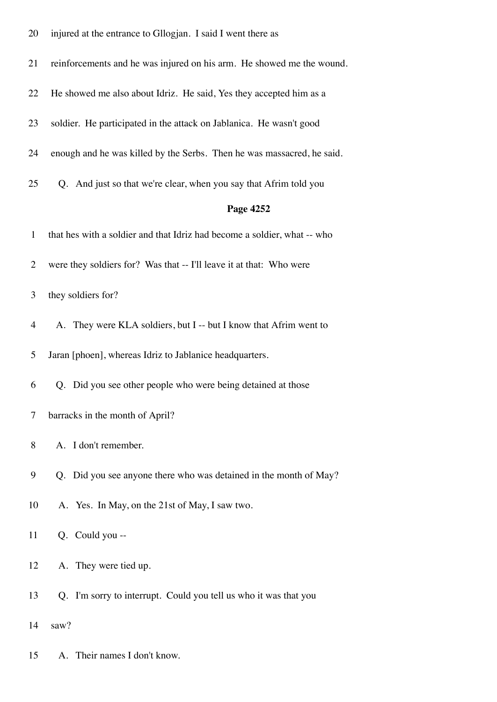| 20             | injured at the entrance to Gllogjan. I said I went there as              |
|----------------|--------------------------------------------------------------------------|
| 21             | reinforcements and he was injured on his arm. He showed me the wound.    |
| 22             | He showed me also about Idriz. He said, Yes they accepted him as a       |
| 23             | soldier. He participated in the attack on Jablanica. He wasn't good      |
| 24             | enough and he was killed by the Serbs. Then he was massacred, he said.   |
| 25             | Q. And just so that we're clear, when you say that Afrim told you        |
|                | Page 4252                                                                |
| $\mathbf{1}$   | that hes with a soldier and that Idriz had become a soldier, what -- who |
| $\overline{2}$ | were they soldiers for? Was that -- I'll leave it at that: Who were      |
| 3              | they soldiers for?                                                       |
| 4              | A. They were KLA soldiers, but I -- but I know that Afrim went to        |
| 5              | Jaran [phoen], whereas Idriz to Jablanice headquarters.                  |
| 6              | Q. Did you see other people who were being detained at those             |
| 7              | barracks in the month of April?                                          |
| 8              | A. I don't remember.                                                     |
| 9              | Q. Did you see anyone there who was detained in the month of May?        |
| 10             | A. Yes. In May, on the 21st of May, I saw two.                           |
| 11             | Q. Could you --                                                          |
| 12             | A. They were tied up.                                                    |
| 13             | Q. I'm sorry to interrupt. Could you tell us who it was that you         |
| 14             | saw?                                                                     |

15 A. Their names I don't know.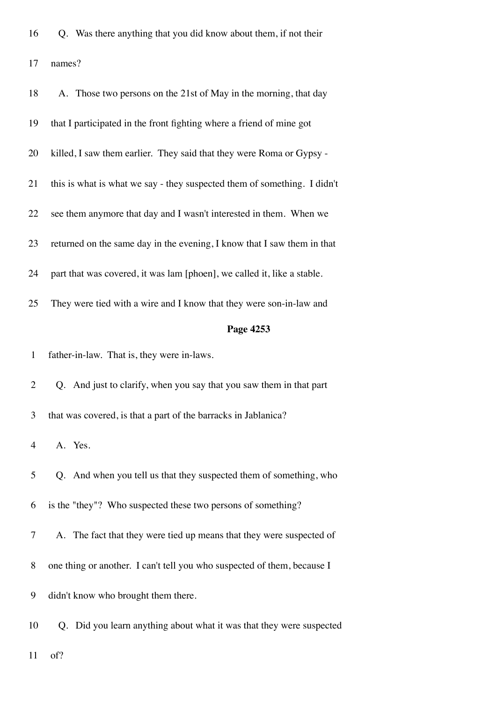| 16 |  | Q. Was there anything that you did know about them, if not their |  |  |  |  |  |  |  |
|----|--|------------------------------------------------------------------|--|--|--|--|--|--|--|
|----|--|------------------------------------------------------------------|--|--|--|--|--|--|--|

17 names?

| 18             | A. Those two persons on the 21st of May in the morning, that day         |
|----------------|--------------------------------------------------------------------------|
| 19             | that I participated in the front fighting where a friend of mine got     |
| 20             | killed, I saw them earlier. They said that they were Roma or Gypsy -     |
| 21             | this is what is what we say - they suspected them of something. I didn't |
| 22             | see them anymore that day and I wasn't interested in them. When we       |
| 23             | returned on the same day in the evening, I know that I saw them in that  |
| 24             | part that was covered, it was lam [phoen], we called it, like a stable.  |
| 25             | They were tied with a wire and I know that they were son-in-law and      |
|                | Page 4253                                                                |
| $\mathbf{1}$   | father-in-law. That is, they were in-laws.                               |
|                |                                                                          |
| $\overline{2}$ | Q. And just to clarify, when you say that you saw them in that part      |
| 3              | that was covered, is that a part of the barracks in Jablanica?           |
| 4              | A. Yes.                                                                  |
| 5              | Q. And when you tell us that they suspected them of something, who       |
| 6              | is the "they"? Who suspected these two persons of something?             |
| 7              | A. The fact that they were tied up means that they were suspected of     |
| 8              | one thing or another. I can't tell you who suspected of them, because I  |
| 9              | didn't know who brought them there.                                      |
| 10             | Q. Did you learn anything about what it was that they were suspected     |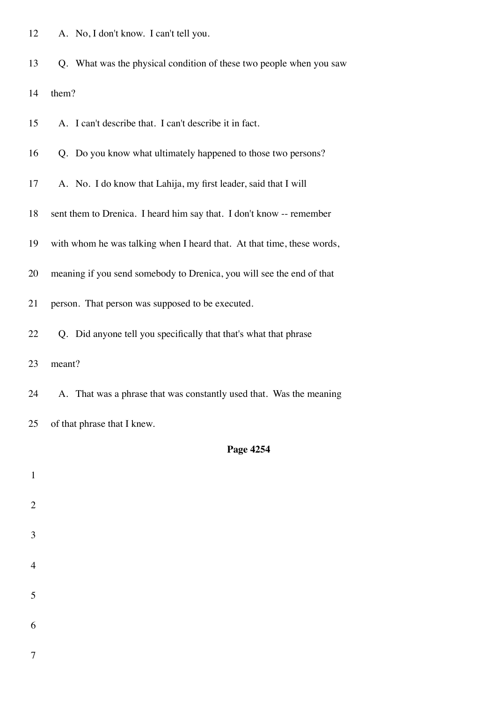| 12 |  | A. No, I don't know. I can't tell you. |  |
|----|--|----------------------------------------|--|
|----|--|----------------------------------------|--|

13 Q. What was the physical condition of these two people when you saw

14 them?

|  | 15 |  | A. I can't describe that. I can't describe it in fact. |
|--|----|--|--------------------------------------------------------|
|--|----|--|--------------------------------------------------------|

- 16 Q. Do you know what ultimately happened to those two persons?
- 17 A. No. I do know that Lahija, my first leader, said that I will
- 18 sent them to Drenica. I heard him say that. I don't know -- remember
- 19 with whom he was talking when I heard that. At that time, these words,
- 20 meaning if you send somebody to Drenica, you will see the end of that
- 21 person. That person was supposed to be executed.
- 22 Q. Did anyone tell you specifically that that's what that phrase

23 meant?

7

- 24 A. That was a phrase that was constantly used that. Was the meaning
- 25 of that phrase that I knew.

| $\mathbf{1}$   |  |  |  |
|----------------|--|--|--|
| $\overline{2}$ |  |  |  |
| $\mathfrak{Z}$ |  |  |  |
| $\overline{4}$ |  |  |  |
| 5              |  |  |  |
| 6              |  |  |  |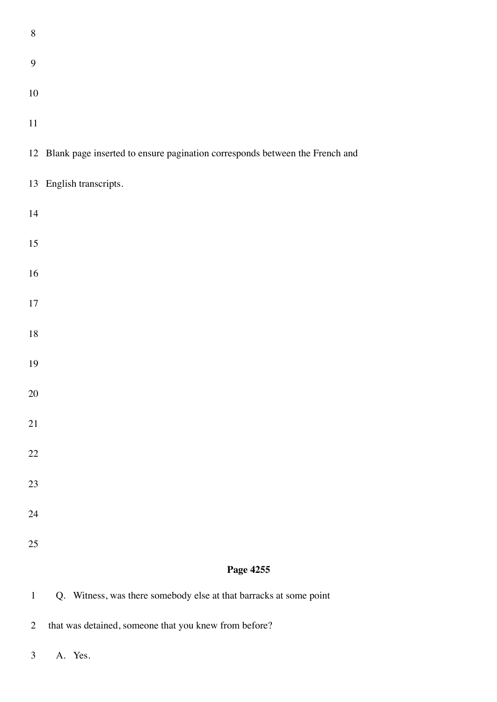| $8\,$            |                                                                                |
|------------------|--------------------------------------------------------------------------------|
| $\boldsymbol{9}$ |                                                                                |
| $10\,$           |                                                                                |
| 11               |                                                                                |
|                  | 12 Blank page inserted to ensure pagination corresponds between the French and |
|                  | 13 English transcripts.                                                        |
| 14               |                                                                                |
| $15\,$           |                                                                                |
| 16               |                                                                                |
| $17\,$           |                                                                                |
| $18\,$           |                                                                                |
| 19               |                                                                                |
| $20\,$           |                                                                                |
| $21\,$           |                                                                                |
| $22\,$           |                                                                                |
| 23               |                                                                                |
| 24               |                                                                                |
| 25               |                                                                                |
|                  | Page 4255                                                                      |
| $\mathbf{1}$     | Q. Witness, was there somebody else at that barracks at some point             |

2 that was detained, someone that you knew from before?

3 A. Yes.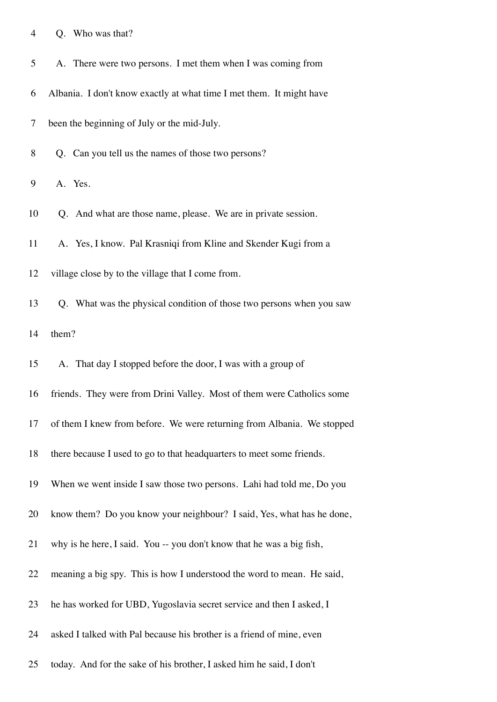| Q. Who was that? |  |  |  |  |  |
|------------------|--|--|--|--|--|
|------------------|--|--|--|--|--|

| 5 <sup>5</sup> |  | A. There were two persons. I met them when I was coming from |  |  |
|----------------|--|--------------------------------------------------------------|--|--|
|----------------|--|--------------------------------------------------------------|--|--|

6 Albania. I don't know exactly at what time I met them. It might have

7 been the beginning of July or the mid-July.

8 Q. Can you tell us the names of those two persons?

9 A. Yes.

10 Q. And what are those name, please. We are in private session.

11 A. Yes, I know. Pal Krasniqi from Kline and Skender Kugi from a

12 village close by to the village that I come from.

13 Q. What was the physical condition of those two persons when you saw 14 them?

15 A. That day I stopped before the door, I was with a group of

- 16 friends. They were from Drini Valley. Most of them were Catholics some
- 17 of them I knew from before. We were returning from Albania. We stopped
- 18 there because I used to go to that headquarters to meet some friends.
- 19 When we went inside I saw those two persons. Lahi had told me, Do you
- 20 know them? Do you know your neighbour? I said, Yes, what has he done,
- 21 why is he here, I said. You -- you don't know that he was a big fish,
- 22 meaning a big spy. This is how I understood the word to mean. He said,
- 23 he has worked for UBD, Yugoslavia secret service and then I asked, I
- 24 asked I talked with Pal because his brother is a friend of mine, even
- 25 today. And for the sake of his brother, I asked him he said, I don't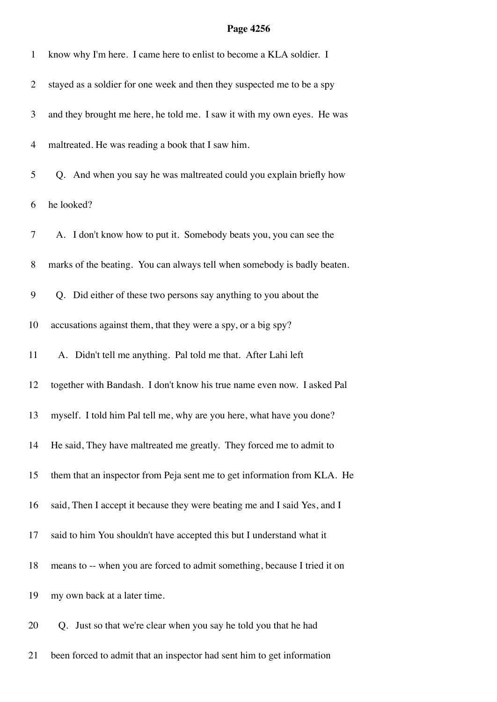| $\mathbf{1}$   | know why I'm here. I came here to enlist to become a KLA soldier. I       |
|----------------|---------------------------------------------------------------------------|
| $\overline{2}$ | stayed as a soldier for one week and then they suspected me to be a spy   |
| 3              | and they brought me here, he told me. I saw it with my own eyes. He was   |
| $\overline{4}$ | maltreated. He was reading a book that I saw him.                         |
| 5              | Q. And when you say he was maltreated could you explain briefly how       |
| 6              | he looked?                                                                |
| $\overline{7}$ | A. I don't know how to put it. Somebody beats you, you can see the        |
| $8\,$          | marks of the beating. You can always tell when somebody is badly beaten.  |
| 9              | Q. Did either of these two persons say anything to you about the          |
| 10             | accusations against them, that they were a spy, or a big spy?             |
| 11             | A. Didn't tell me anything. Pal told me that. After Lahi left             |
| 12             | together with Bandash. I don't know his true name even now. I asked Pal   |
| 13             | myself. I told him Pal tell me, why are you here, what have you done?     |
| 14             | He said, They have maltreated me greatly. They forced me to admit to      |
| 15             | them that an inspector from Peja sent me to get information from KLA. He  |
| 16             | said, Then I accept it because they were beating me and I said Yes, and I |
| 17             | said to him You shouldn't have accepted this but I understand what it     |
| 18             | means to -- when you are forced to admit something, because I tried it on |
| 19             | my own back at a later time.                                              |
| 20             | Q. Just so that we're clear when you say he told you that he had          |
| 21             | been forced to admit that an inspector had sent him to get information    |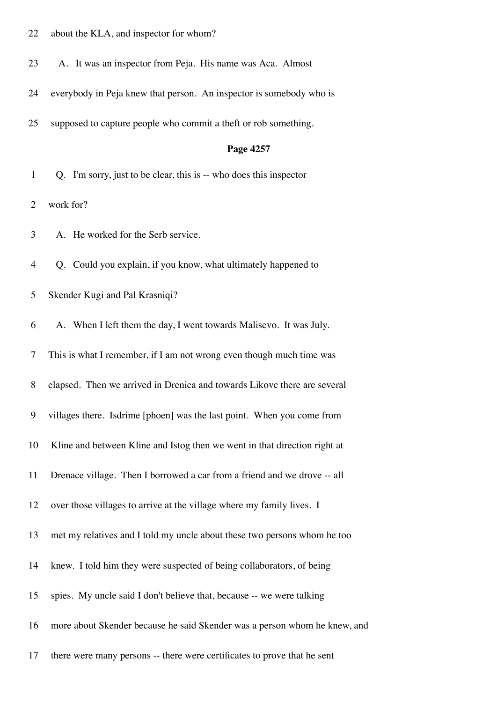- 22 about the KLA, and inspector for whom?
- 23 A. It was an inspector from Peja. His name was Aca. Almost
- 24 everybody in Peja knew that person. An inspector is somebody who is
- 25 supposed to capture people who commit a theft or rob something.

- 1 Q. I'm sorry, just to be clear, this is -- who does this inspector
- 2 work for?
- 3 A. He worked for the Serb service.
- 4 Q. Could you explain, if you know, what ultimately happened to
- 5 Skender Kugi and Pal Krasniqi?
- 6 A. When I left them the day, I went towards Malisevo. It was July.
- 7 This is what I remember, if I am not wrong even though much time was
- 8 elapsed. Then we arrived in Drenica and towards Likovc there are several
- 9 villages there. Isdrime [phoen] was the last point. When you come from
- 10 Kline and between Kline and Istog then we went in that direction right at
- 11 Drenace village. Then I borrowed a car from a friend and we drove -- all
- 12 over those villages to arrive at the village where my family lives. I
- 13 met my relatives and I told my uncle about these two persons whom he too
- 14 knew. I told him they were suspected of being collaborators, of being
- 15 spies. My uncle said I don't believe that, because -- we were talking
- 16 more about Skender because he said Skender was a person whom he knew, and
- 17 there were many persons -- there were certificates to prove that he sent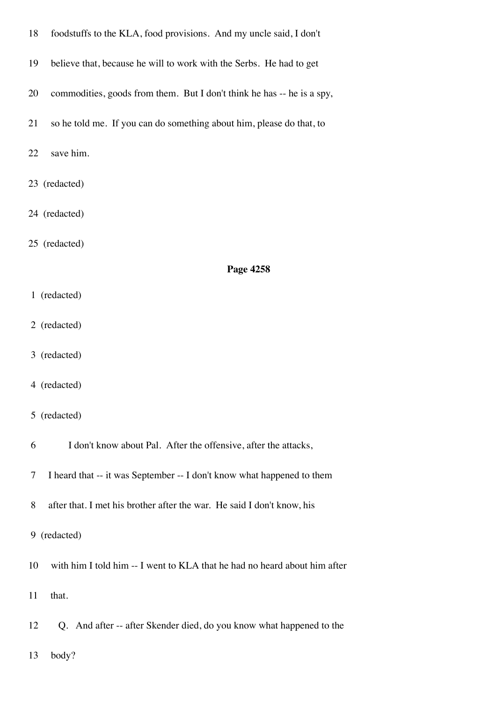| 18 | foodstuffs to the KLA, food provisions. And my uncle said, I don't        |
|----|---------------------------------------------------------------------------|
| 19 | believe that, because he will to work with the Serbs. He had to get       |
| 20 | commodities, goods from them. But I don't think he has -- he is a spy,    |
| 21 | so he told me. If you can do something about him, please do that, to      |
| 22 | save him.                                                                 |
|    | 23 (redacted)                                                             |
|    | 24 (redacted)                                                             |
|    | 25 (redacted)                                                             |
|    | Page 4258                                                                 |
|    | 1 (redacted)                                                              |
|    | 2 (redacted)                                                              |
|    | 3 (redacted)                                                              |
|    | 4 (redacted)                                                              |
|    | 5 (redacted)                                                              |
| 6  | I don't know about Pal. After the offensive, after the attacks,           |
| 7  | I heard that -- it was September -- I don't know what happened to them    |
| 8  | after that. I met his brother after the war. He said I don't know, his    |
|    | 9 (redacted)                                                              |
| 10 | with him I told him -- I went to KLA that he had no heard about him after |
| 11 | that.                                                                     |
| 12 | Q. And after -- after Skender died, do you know what happened to the      |
| 13 | body?                                                                     |
|    |                                                                           |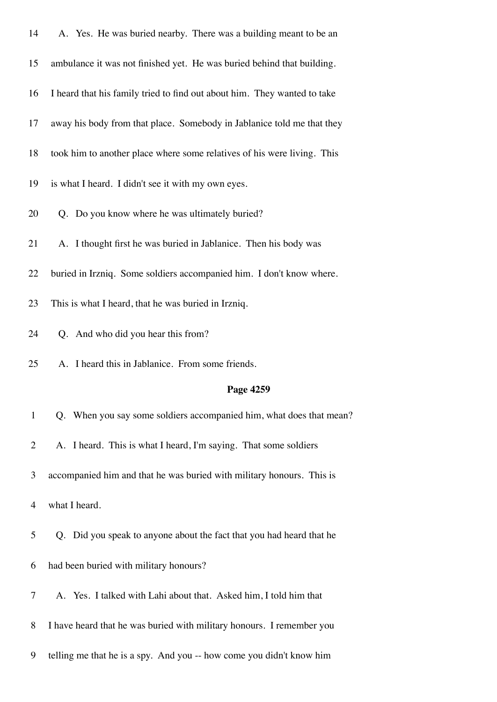| 14             | A. Yes. He was buried nearby. There was a building meant to be an        |
|----------------|--------------------------------------------------------------------------|
| 15             | ambulance it was not finished yet. He was buried behind that building.   |
| 16             | I heard that his family tried to find out about him. They wanted to take |
| 17             | away his body from that place. Somebody in Jablanice told me that they   |
| 18             | took him to another place where some relatives of his were living. This  |
| 19             | is what I heard. I didn't see it with my own eyes.                       |
| 20             | Q. Do you know where he was ultimately buried?                           |
| 21             | A. I thought first he was buried in Jablanice. Then his body was         |
| 22             | buried in Irzniq. Some soldiers accompanied him. I don't know where.     |
| 23             | This is what I heard, that he was buried in Irzniq.                      |
| 24             | Q. And who did you hear this from?                                       |
|                |                                                                          |
| 25             | A. I heard this in Jablanice. From some friends.                         |
|                | Page 4259                                                                |
| $\mathbf{1}$   | Q. When you say some soldiers accompanied him, what does that mean?      |
| $\overline{2}$ | A. I heard. This is what I heard, I'm saying. That some soldiers         |
| 3              | accompanied him and that he was buried with military honours. This is    |
| $\overline{4}$ | what I heard.                                                            |
| 5              | Q. Did you speak to anyone about the fact that you had heard that he     |
| 6              | had been buried with military honours?                                   |
| 7              | A. Yes. I talked with Lahi about that. Asked him, I told him that        |
| 8              | I have heard that he was buried with military honours. I remember you    |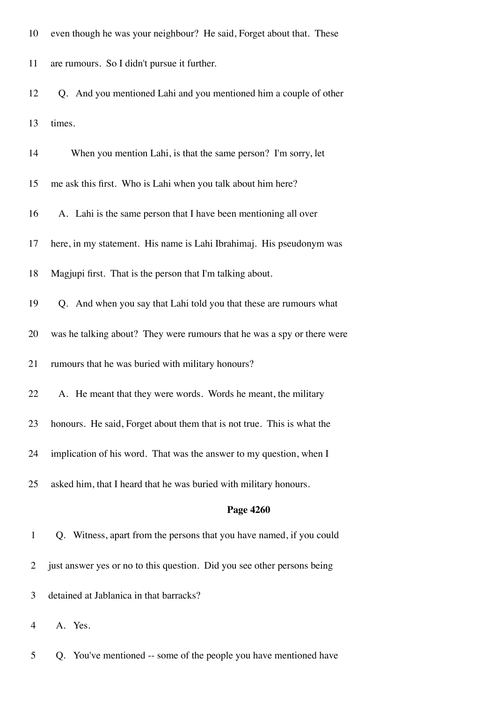| 10             | even though he was your neighbour? He said, Forget about that. These    |
|----------------|-------------------------------------------------------------------------|
| 11             | are rumours. So I didn't pursue it further.                             |
| 12             | Q. And you mentioned Lahi and you mentioned him a couple of other       |
| 13             | times.                                                                  |
| 14             | When you mention Lahi, is that the same person? I'm sorry, let          |
| 15             | me ask this first. Who is Lahi when you talk about him here?            |
| 16             | A. Lahi is the same person that I have been mentioning all over         |
| 17             | here, in my statement. His name is Lahi Ibrahimaj. His pseudonym was    |
| 18             | Magjupi first. That is the person that I'm talking about.               |
| 19             | Q. And when you say that Lahi told you that these are rumours what      |
| 20             | was he talking about? They were rumours that he was a spy or there were |
| 21             | rumours that he was buried with military honours?                       |
| 22             | A. He meant that they were words. Words he meant, the military          |
| 23             | honours. He said, Forget about them that is not true. This is what the  |
| 24             | implication of his word. That was the answer to my question, when I     |
| 25             | asked him, that I heard that he was buried with military honours.       |
|                | Page 4260                                                               |
| $\mathbf{1}$   | Q. Witness, apart from the persons that you have named, if you could    |
| $\overline{2}$ | just answer yes or no to this question. Did you see other persons being |
| 3              | detained at Jablanica in that barracks?                                 |

- 4 A. Yes.
- 5 Q. You've mentioned -- some of the people you have mentioned have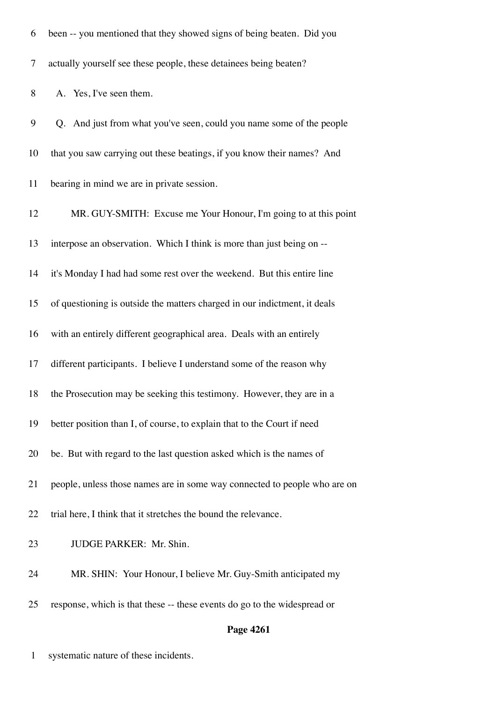| 6      | been -- you mentioned that they showed signs of being beaten. Did you     |
|--------|---------------------------------------------------------------------------|
| $\tau$ | actually yourself see these people, these detainees being beaten?         |
| 8      | A. Yes, I've seen them.                                                   |
| 9      | Q. And just from what you've seen, could you name some of the people      |
| 10     | that you saw carrying out these beatings, if you know their names? And    |
| 11     | bearing in mind we are in private session.                                |
| 12     | MR. GUY-SMITH: Excuse me Your Honour, I'm going to at this point          |
| 13     | interpose an observation. Which I think is more than just being on --     |
| 14     | it's Monday I had had some rest over the weekend. But this entire line    |
| 15     | of questioning is outside the matters charged in our indictment, it deals |
| 16     | with an entirely different geographical area. Deals with an entirely      |
| 17     | different participants. I believe I understand some of the reason why     |
| 18     | the Prosecution may be seeking this testimony. However, they are in a     |
| 19     | better position than I, of course, to explain that to the Court if need   |
| 20     | be. But with regard to the last question asked which is the names of      |
| 21     | people, unless those names are in some way connected to people who are on |
| 22     | trial here, I think that it stretches the bound the relevance.            |
| 23     | JUDGE PARKER: Mr. Shin.                                                   |
| 24     | MR. SHIN: Your Honour, I believe Mr. Guy-Smith anticipated my             |
| 25     | response, which is that these -- these events do go to the widespread or  |
|        | Page 4261                                                                 |

1 systematic nature of these incidents.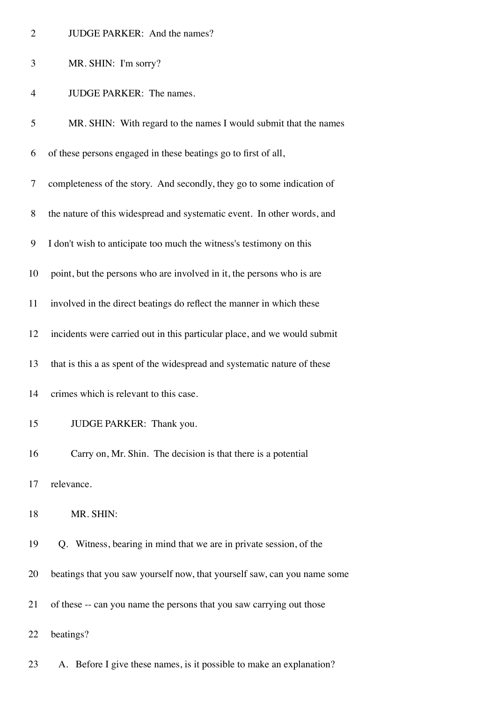| <b>JUDGE PARKER:</b> And the names? |  |
|-------------------------------------|--|
|                                     |  |

4 JUDGE PARKER: The names.

| 5  | MR. SHIN: With regard to the names I would submit that the names         |
|----|--------------------------------------------------------------------------|
| 6  | of these persons engaged in these beatings go to first of all,           |
| 7  | completeness of the story. And secondly, they go to some indication of   |
| 8  | the nature of this widespread and systematic event. In other words, and  |
| 9  | I don't wish to anticipate too much the witness's testimony on this      |
| 10 | point, but the persons who are involved in it, the persons who is are    |
| 11 | involved in the direct beatings do reflect the manner in which these     |
| 12 | incidents were carried out in this particular place, and we would submit |
| 13 | that is this a as spent of the widespread and systematic nature of these |
| 14 | crimes which is relevant to this case.                                   |
| 15 | JUDGE PARKER: Thank you.                                                 |
| 16 | Carry on, Mr. Shin. The decision is that there is a potential            |
| 17 | relevance                                                                |
| 18 | MR. SHIN:                                                                |
| 19 | Q. Witness, bearing in mind that we are in private session, of the       |
| 20 | beatings that you saw yourself now, that yourself saw, can you name some |
| 21 | of these -- can you name the persons that you saw carrying out those     |
| 22 | beatings?                                                                |
|    |                                                                          |

23 A. Before I give these names, is it possible to make an explanation?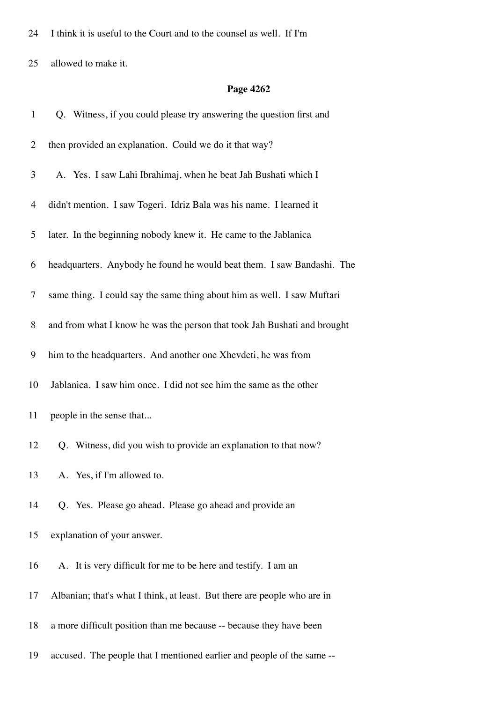24 I think it is useful to the Court and to the counsel as well. If I'm

25 allowed to make it.

| $\mathbf{1}$   | Q. Witness, if you could please try answering the question first and     |
|----------------|--------------------------------------------------------------------------|
| $\overline{2}$ | then provided an explanation. Could we do it that way?                   |
| 3              | A. Yes. I saw Lahi Ibrahimaj, when he beat Jah Bushati which I           |
| $\overline{4}$ | didn't mention. I saw Togeri. Idriz Bala was his name. I learned it      |
| 5              | later. In the beginning nobody knew it. He came to the Jablanica         |
| 6              | headquarters. Anybody he found he would beat them. I saw Bandashi. The   |
| $\tau$         | same thing. I could say the same thing about him as well. I saw Muftari  |
| 8              | and from what I know he was the person that took Jah Bushati and brought |
| 9              | him to the headquarters. And another one Xhevdeti, he was from           |
| 10             | Jablanica. I saw him once. I did not see him the same as the other       |
| 11             | people in the sense that                                                 |
| 12             | Q. Witness, did you wish to provide an explanation to that now?          |
| 13             | A. Yes, if I'm allowed to.                                               |
| 14             | Q. Yes. Please go ahead. Please go ahead and provide an                  |
| 15             | explanation of your answer.                                              |
| 16             | A. It is very difficult for me to be here and testify. I am an           |
| 17             | Albanian; that's what I think, at least. But there are people who are in |
| 18             | a more difficult position than me because -- because they have been      |
| 19             | accused. The people that I mentioned earlier and people of the same --   |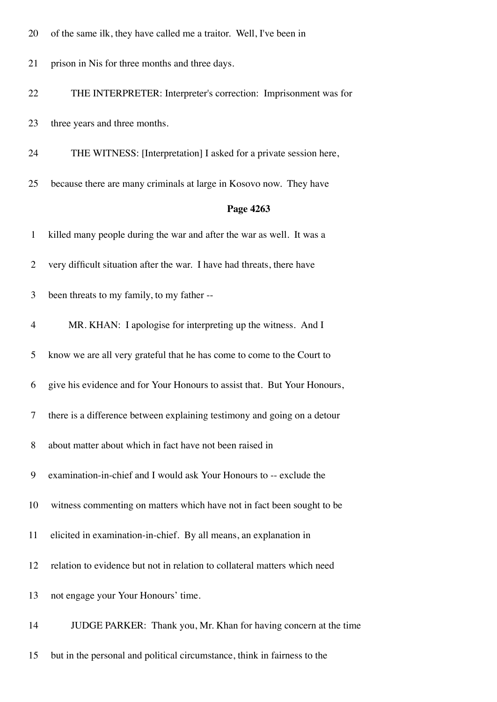- 20 of the same ilk, they have called me a traitor. Well, I've been in
- 21 prison in Nis for three months and three days.
- 22 THE INTERPRETER: Interpreter's correction: Imprisonment was for
- 23 three years and three months.
- 24 THE WITNESS: [Interpretation] I asked for a private session here,
- 25 because there are many criminals at large in Kosovo now. They have

#### **Page 4263**

| $\mathbf{1}$   | killed many people during the war and after the war as well. It was a     |
|----------------|---------------------------------------------------------------------------|
| $\overline{2}$ | very difficult situation after the war. I have had threats, there have    |
| 3              | been threats to my family, to my father --                                |
| $\overline{4}$ | MR. KHAN: I apologise for interpreting up the witness. And I              |
| 5              | know we are all very grateful that he has come to come to the Court to    |
| 6              | give his evidence and for Your Honours to assist that. But Your Honours,  |
| 7              | there is a difference between explaining testimony and going on a detour  |
| 8              | about matter about which in fact have not been raised in                  |
| 9              | examination-in-chief and I would ask Your Honours to -- exclude the       |
| 10             | witness commenting on matters which have not in fact been sought to be    |
| 11             | elicited in examination-in-chief. By all means, an explanation in         |
| 12             | relation to evidence but not in relation to collateral matters which need |
| 13             | not engage your Your Honours' time.                                       |
| 14             | JUDGE PARKER: Thank you, Mr. Khan for having concern at the time          |

15 but in the personal and political circumstance, think in fairness to the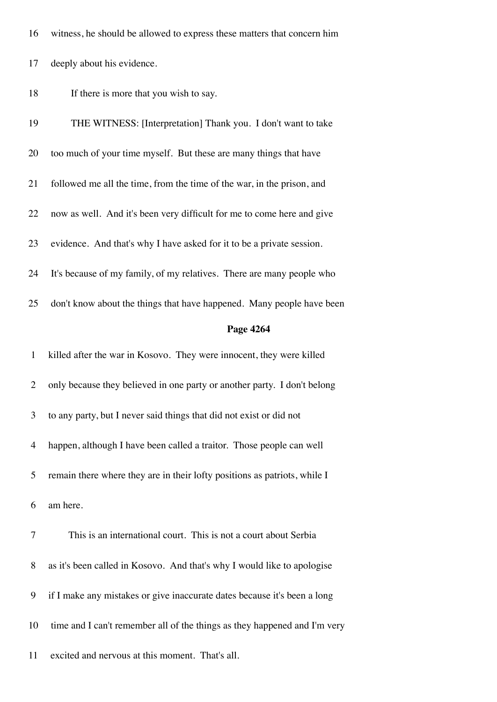|  | 16 witness, he should be allowed to express these matters that concern him |  |  |  |  |
|--|----------------------------------------------------------------------------|--|--|--|--|
|--|----------------------------------------------------------------------------|--|--|--|--|

- 17 deeply about his evidence.
- 18 If there is more that you wish to say.

| 19             | THE WITNESS: [Interpretation] Thank you. I don't want to take             |
|----------------|---------------------------------------------------------------------------|
| 20             | too much of your time myself. But these are many things that have         |
| 21             | followed me all the time, from the time of the war, in the prison, and    |
| 22             | now as well. And it's been very difficult for me to come here and give    |
| 23             | evidence. And that's why I have asked for it to be a private session.     |
| 24             | It's because of my family, of my relatives. There are many people who     |
| 25             | don't know about the things that have happened. Many people have been     |
|                | Page 4264                                                                 |
| $\mathbf{1}$   | killed after the war in Kosovo. They were innocent, they were killed      |
| $\overline{2}$ | only because they believed in one party or another party. I don't belong  |
| 3              | to any party, but I never said things that did not exist or did not       |
| $\overline{4}$ | happen, although I have been called a traitor. Those people can well      |
| 5              | remain there where they are in their lofty positions as patriots, while I |
|                |                                                                           |
| 6              | am here.                                                                  |
| 7              | This is an international court. This is not a court about Serbia          |
| 8              | as it's been called in Kosovo. And that's why I would like to apologise   |
| 9              | if I make any mistakes or give inaccurate dates because it's been a long  |

11 excited and nervous at this moment. That's all.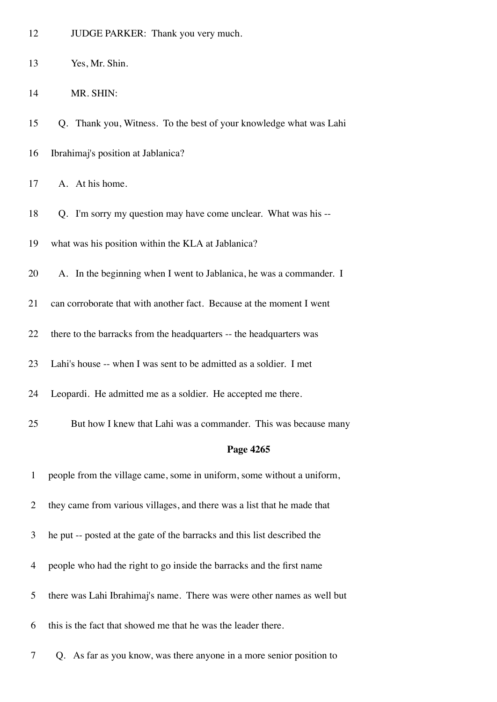| 12           | JUDGE PARKER: Thank you very much.                                       |
|--------------|--------------------------------------------------------------------------|
| 13           | Yes, Mr. Shin.                                                           |
| 14           | MR. SHIN:                                                                |
| 15           | Q. Thank you, Witness. To the best of your knowledge what was Lahi       |
| 16           | Ibrahimaj's position at Jablanica?                                       |
| 17           | A. At his home.                                                          |
| 18           | Q. I'm sorry my question may have come unclear. What was his --          |
| 19           | what was his position within the KLA at Jablanica?                       |
| 20           | A. In the beginning when I went to Jablanica, he was a commander. I      |
| 21           | can corroborate that with another fact. Because at the moment I went     |
| 22           | there to the barracks from the headquarters -- the headquarters was      |
|              |                                                                          |
| 23           | Lahi's house -- when I was sent to be admitted as a soldier. I met       |
| 24           | Leopardi. He admitted me as a soldier. He accepted me there.             |
| 25           | But how I knew that Lahi was a commander. This was because many          |
|              | Page 4265                                                                |
| $\mathbf{1}$ | people from the village came, some in uniform, some without a uniform,   |
| 2            | they came from various villages, and there was a list that he made that  |
| 3            | he put -- posted at the gate of the barracks and this list described the |
| 4            | people who had the right to go inside the barracks and the first name    |

- 6 this is the fact that showed me that he was the leader there.
- 7 Q. As far as you know, was there anyone in a more senior position to